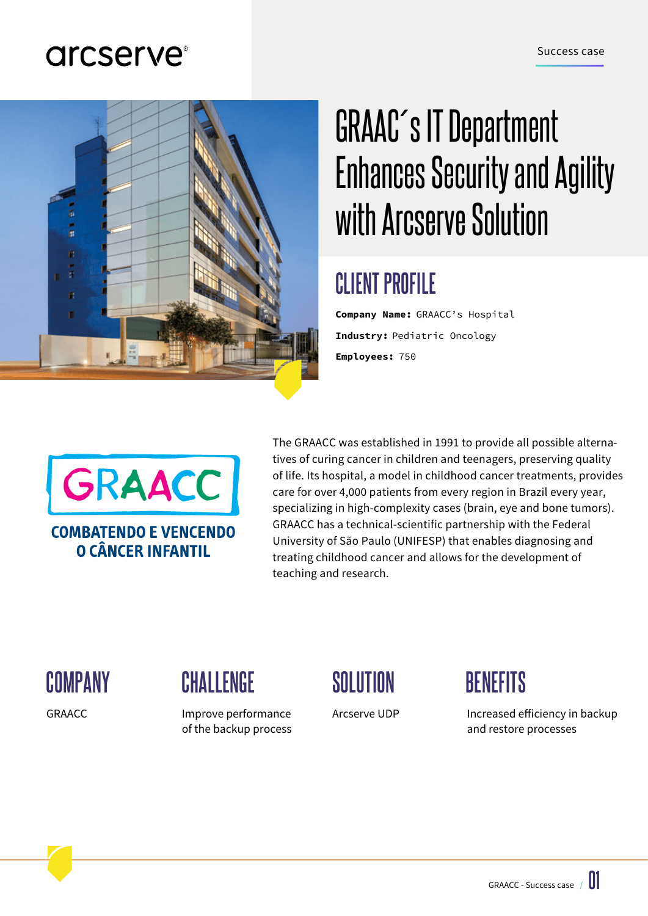## arcserve<sup>®</sup>



# GRAAC´s IT Department Enhances Security and Agility with Arcserve Solution

# **CLIENT PROFILE**

**Company Name:** GRAACC's Hospital **Industry:** Pediatric Oncology **Employees:** 750



The GRAACC was established in 1991 to provide all possible alternatives of curing cancer in children and teenagers, preserving quality of life. Its hospital, a model in childhood cancer treatments, provides care for over 4,000 patients from every region in Brazil every year, specializing in high-complexity cases (brain, eye and bone tumors). GRAACC has a technical-scientific partnership with the Federal University of São Paulo (UNIFESP) that enables diagnosing and treating childhood cancer and allows for the development of teaching and research.

GRAACC

#### $\begin{array}{ccc}\text{COMPANY} & \text{CHALLENGE} & \text{SOLUTION} & \text{BENEFITS}\end{array}$

Improve performance of the backup process





Arcserve UDP Increased efficiency in backup and restore processes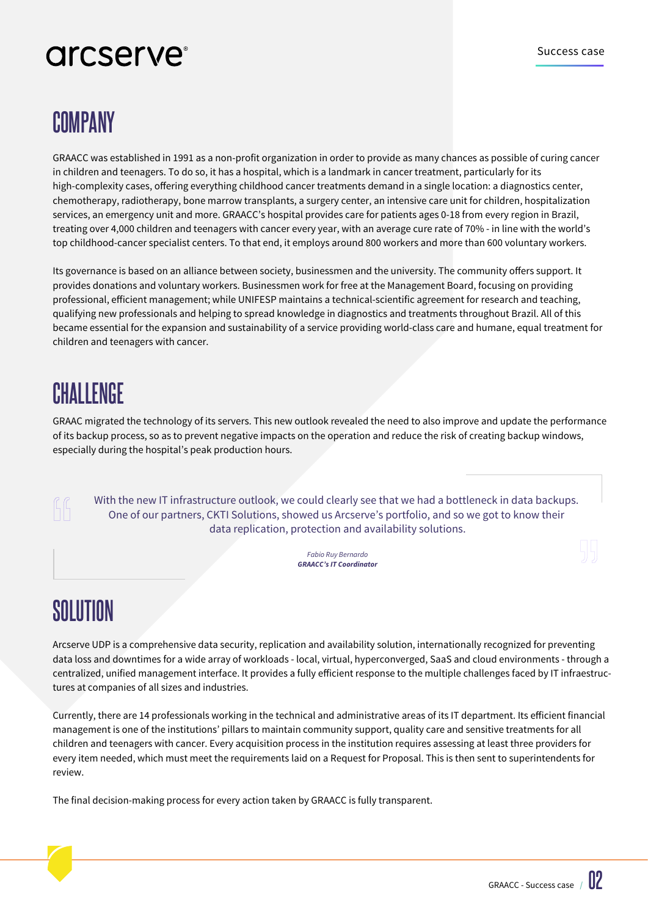# arcserve<sup>®</sup>

#### **COMPANY**

 GRAACC was established in 1991 as a non-profit organization in order to provide as many chances as possible of curing cancer in children and teenagers. To do so, it has a hospital, which is a landmark in cancer treatment, particularly for its high-complexity cases, offering everything childhood cancer treatments demand in a single location: a diagnostics center, chemotherapy, radiotherapy, bone marrow transplants, a surgery center, an intensive care unit for children, hospitalization services, an emergency unit and more. GRAACC's hospital provides care for patients ages 0-18 from every region in Brazil, treating over 4,000 children and teenagers with cancer every year, with an average cure rate of 70% - in line with the world's top childhood-cancer specialist centers. To that end, it employs around 800 workers and more than 600 voluntary workers.

Its governance is based on an alliance between society, businessmen and the university. The community offers support. It provides donations and voluntary workers. Businessmen work for free at the Management Board, focusing on providing professional, efficient management; while UNIFESP maintains a technical-scientific agreement for research and teaching, qualifying new professionals and helping to spread knowledge in diagnostics and treatments throughout Brazil. All of this became essential for the expansion and sustainability of a service providing world-class care and humane, equal treatment for children and teenagers with cancer.

#### **CHALLENGE**

GRAAC migrated the technology of its servers. This new outlook revealed the need to also improve and update the performance of its backup process, so as to prevent negative impacts on the operation and reduce the risk of creating backup windows, especially during the hospital's peak production hours.

With the new IT infrastructure outlook, we could clearly see that we had a bottleneck in data backups. One of our partners, CKTI Solutions, showed us Arcserve's portfolio, and so we got to know their data replication, protection and availability solutions.

> *GRAACC's IT Coordinator Fabio Ruy Bernardo*

#### **SOLUTION**

Arcserve UDP is a comprehensive data security, replication and availability solution, internationally recognized for preventing data loss and downtimes for a wide array of workloads - local, virtual, hyperconverged, SaaS and cloud environments - through a centralized, unified management interface. It provides a fully efficient response to the multiple challenges faced by IT infraestructures at companies of all sizes and industries.

Currently, there are 14 professionals working in the technical and administrative areas of its IT department. Its efficient financial management is one of the institutions' pillars to maintain community support, quality care and sensitive treatments for all children and teenagers with cancer. Every acquisition process in the institution requires assessing at least three providers for every item needed, which must meet the requirements laid on a Request for Proposal. This is then sent to superintendents for review.

The final decision-making process for every action taken by GRAACC is fully transparent.